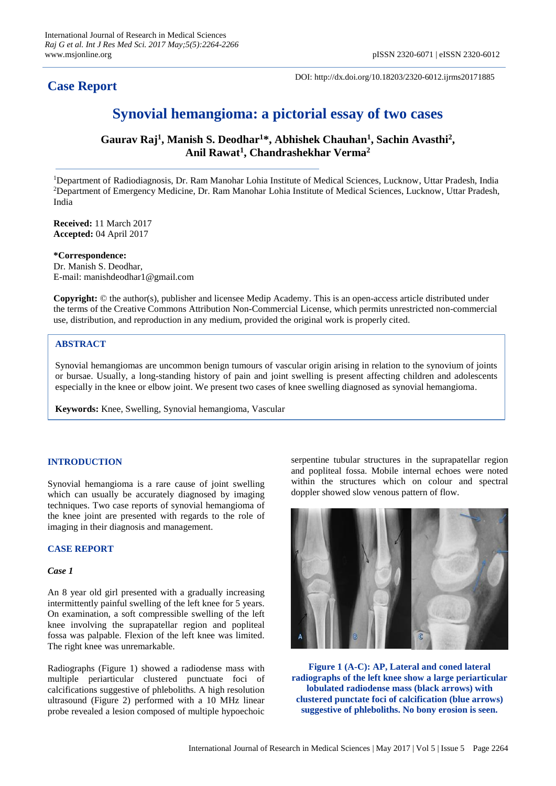# **Case Report**

DOI: http://dx.doi.org/10.18203/2320-6012.ijrms20171885

# **Synovial hemangioma: a pictorial essay of two cases**

**Gaurav Raj<sup>1</sup> , Manish S. Deodhar<sup>1</sup>\*, Abhishek Chauhan<sup>1</sup> , Sachin Avasthi<sup>2</sup> , Anil Rawat<sup>1</sup> , Chandrashekhar Verma<sup>2</sup>**

<sup>1</sup>Department of Radiodiagnosis, Dr. Ram Manohar Lohia Institute of Medical Sciences, Lucknow, Uttar Pradesh, India <sup>2</sup>Department of Emergency Medicine, Dr. Ram Manohar Lohia Institute of Medical Sciences, Lucknow, Uttar Pradesh, India

**Received:** 11 March 2017 **Accepted:** 04 April 2017

**\*Correspondence:** Dr. Manish S. Deodhar, E-mail: manishdeodhar1@gmail.com

**Copyright:** © the author(s), publisher and licensee Medip Academy. This is an open-access article distributed under the terms of the Creative Commons Attribution Non-Commercial License, which permits unrestricted non-commercial use, distribution, and reproduction in any medium, provided the original work is properly cited.

# **ABSTRACT**

Synovial hemangiomas are uncommon benign tumours of vascular origin arising in relation to the synovium of joints or bursae. Usually, a long-standing history of pain and joint swelling is present affecting children and adolescents especially in the knee or elbow joint. We present two cases of knee swelling diagnosed as synovial hemangioma.

**Keywords:** Knee, Swelling, Synovial hemangioma, Vascular

# **INTRODUCTION**

Synovial hemangioma is a rare cause of joint swelling which can usually be accurately diagnosed by imaging techniques. Two case reports of synovial hemangioma of the knee joint are presented with regards to the role of imaging in their diagnosis and management.

# **CASE REPORT**

### *Case 1*

An 8 year old girl presented with a gradually increasing intermittently painful swelling of the left knee for 5 years. On examination, a soft compressible swelling of the left knee involving the suprapatellar region and popliteal fossa was palpable. Flexion of the left knee was limited. The right knee was unremarkable.

Radiographs (Figure 1) showed a radiodense mass with multiple periarticular clustered punctuate foci of calcifications suggestive of phleboliths. A high resolution ultrasound (Figure 2) performed with a 10 MHz linear probe revealed a lesion composed of multiple hypoechoic serpentine tubular structures in the suprapatellar region and popliteal fossa. Mobile internal echoes were noted within the structures which on colour and spectral doppler showed slow venous pattern of flow.



**Figure 1 (A-C): AP, Lateral and coned lateral radiographs of the left knee show a large periarticular lobulated radiodense mass (black arrows) with clustered punctate foci of calcification (blue arrows) suggestive of phleboliths. No bony erosion is seen.**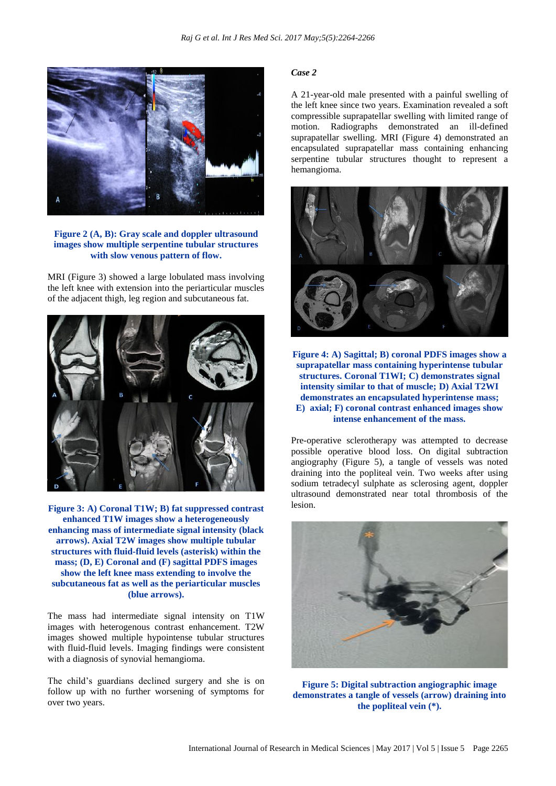

**Figure 2 (A, B): Gray scale and doppler ultrasound images show multiple serpentine tubular structures with slow venous pattern of flow.**

MRI (Figure 3) showed a large lobulated mass involving the left knee with extension into the periarticular muscles of the adjacent thigh, leg region and subcutaneous fat.



**Figure 3: A) Coronal T1W; B) fat suppressed contrast enhanced T1W images show a heterogeneously enhancing mass of intermediate signal intensity (black arrows). Axial T2W images show multiple tubular structures with fluid-fluid levels (asterisk) within the mass; (D, E) Coronal and (F) sagittal PDFS images show the left knee mass extending to involve the subcutaneous fat as well as the periarticular muscles (blue arrows).**

The mass had intermediate signal intensity on T1W images with heterogenous contrast enhancement. T2W images showed multiple hypointense tubular structures with fluid-fluid levels. Imaging findings were consistent with a diagnosis of synovial hemangioma.

The child's guardians declined surgery and she is on follow up with no further worsening of symptoms for over two years.

#### *Case 2*

A 21-year-old male presented with a painful swelling of the left knee since two years. Examination revealed a soft compressible suprapatellar swelling with limited range of motion. Radiographs demonstrated an ill-defined suprapatellar swelling. MRI (Figure 4) demonstrated an encapsulated suprapatellar mass containing enhancing serpentine tubular structures thought to represent a hemangioma.



**Figure 4: A) Sagittal; B) coronal PDFS images show a suprapatellar mass containing hyperintense tubular structures. Coronal T1WI; C) demonstrates signal intensity similar to that of muscle; D) Axial T2WI demonstrates an encapsulated hyperintense mass; E) axial; F) coronal contrast enhanced images show intense enhancement of the mass.**

Pre-operative sclerotherapy was attempted to decrease possible operative blood loss. On digital subtraction angiography (Figure 5), a tangle of vessels was noted draining into the popliteal vein. Two weeks after using sodium tetradecyl sulphate as sclerosing agent, doppler ultrasound demonstrated near total thrombosis of the lesion.



**Figure 5: Digital subtraction angiographic image demonstrates a tangle of vessels (arrow) draining into the popliteal vein (\*).**